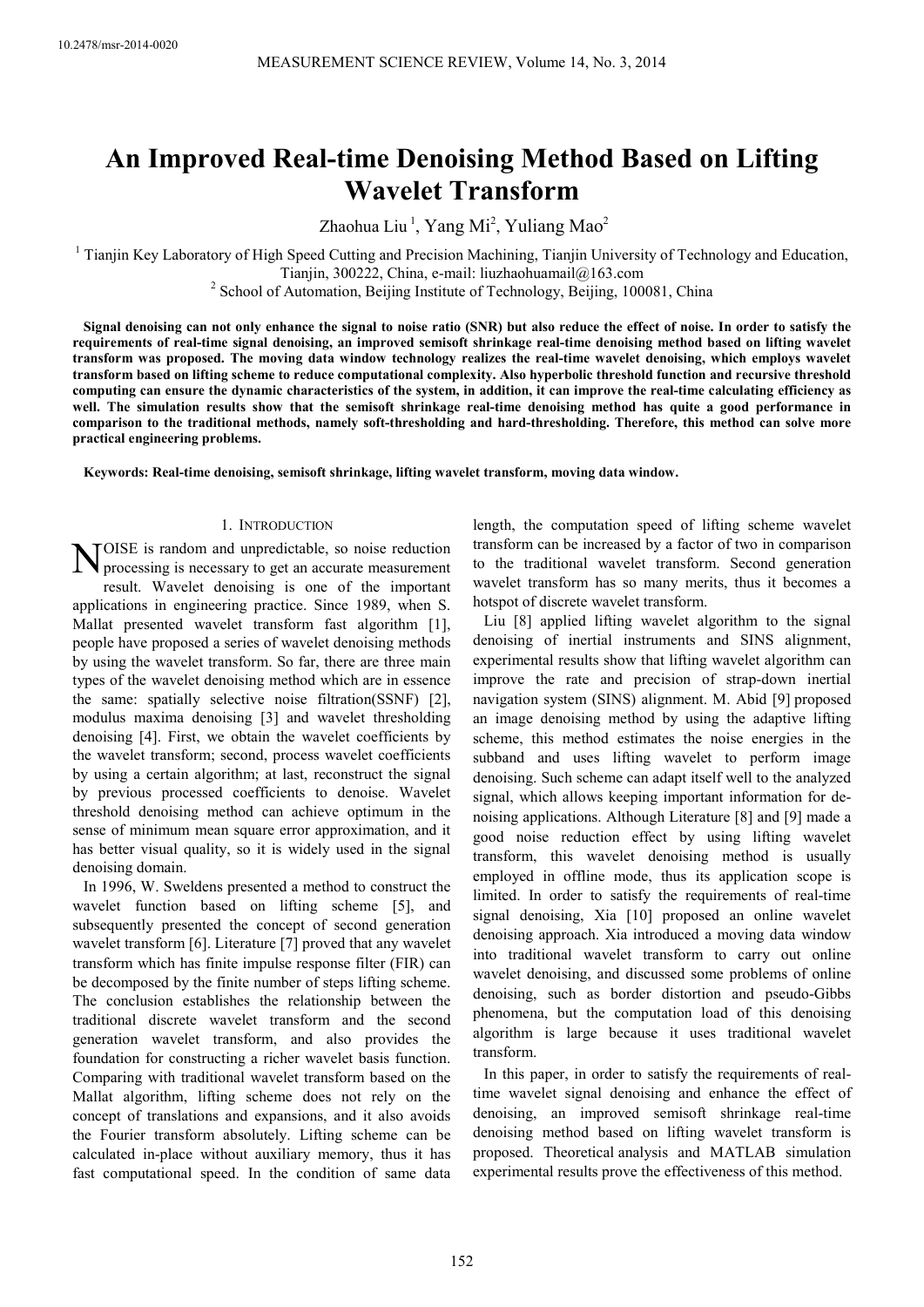# **An Improved Real-time Denoising Method Based on Lifting Wavelet Transform**

Zhaohua Liu<sup>1</sup>, Yang Mi<sup>2</sup>, Yuliang Mao<sup>2</sup>

<sup>1</sup> Tianjin Key Laboratory of High Speed Cutting and Precision Machining, Tianjin University of Technology and Education, Tianjin, 300222, China, e-mail: liuzhaohuamail@163.com

<sup>2</sup> School of Automation, Beijing Institute of Technology, Beijing, 100081, China

**Signal denoising can not only enhance the signal to noise ratio (SNR) but also reduce the effect of noise. In order to satisfy the requirements of real-time signal denoising, an improved semisoft shrinkage real-time denoising method based on lifting wavelet transform was proposed. The moving data window technology realizes the real-time wavelet denoising, which employs wavelet transform based on lifting scheme to reduce computational complexity. Also hyperbolic threshold function and recursive threshold computing can ensure the dynamic characteristics of the system, in addition, it can improve the real-time calculating efficiency as well. The simulation results show that the semisoft shrinkage real-time denoising method has quite a good performance in comparison to the traditional methods, namely soft-thresholding and hard-thresholding. Therefore, this method can solve more practical engineering problems.** 

**Keywords: Real-time denoising, semisoft shrinkage, lifting wavelet transform, moving data window.** 

#### 1. INTRODUCTION

NOISE is random and unpredictable, so noise reduction processing is necessary to get an accurate measurement processing is necessary to get an accurate measurement result. Wavelet denoising is one of the important applications in engineering practice. Since 1989, when S. Mallat presented wavelet transform fast algorithm [1], people have proposed a series of wavelet denoising methods by using the wavelet transform. So far, there are three main types of the wavelet denoising method which are in essence the same: spatially selective noise filtration(SSNF) [2], modulus maxima denoising [3] and wavelet thresholding denoising [4]. First, we obtain the wavelet coefficients by the wavelet transform; second, process wavelet coefficients by using a certain algorithm; at last, reconstruct the signal by previous processed coefficients to denoise. Wavelet threshold denoising method can achieve optimum in the sense of minimum mean square error approximation, and it has better visual quality, so it is widely used in the signal denoising domain.

In 1996, W. Sweldens presented a method to construct the wavelet function based on lifting scheme [5], and subsequently presented the concept of second generation wavelet transform [6]. Literature [7] proved that any wavelet transform which has finite impulse response filter (FIR) can be decomposed by the finite number of steps lifting scheme. The conclusion establishes the relationship between the traditional discrete wavelet transform and the second generation wavelet transform, and also provides the foundation for constructing a richer wavelet basis function. Comparing with traditional wavelet transform based on the Mallat algorithm, lifting scheme does not rely on the concept of translations and expansions, and it also avoids the Fourier transform absolutely. Lifting scheme can be calculated in-place without auxiliary memory, thus it has fast computational speed. In the condition of same data length, the computation speed of lifting scheme wavelet transform can be increased by a factor of two in comparison to the traditional wavelet transform. Second generation wavelet transform has so many merits, thus it becomes a hotspot of discrete wavelet transform.

Liu [8] applied lifting wavelet algorithm to the signal denoising of inertial instruments and SINS alignment, experimental results show that lifting wavelet algorithm can improve the rate and precision of strap-down inertial navigation system (SINS) alignment. M. Abid [9] proposed an image denoising method by using the adaptive lifting scheme, this method estimates the noise energies in the subband and uses lifting wavelet to perform image denoising. Such scheme can adapt itself well to the analyzed signal, which allows keeping important information for denoising applications. Although Literature [8] and [9] made a good noise reduction effect by using lifting wavelet transform, this wavelet denoising method is usually employed in offline mode, thus its application scope is limited. In order to satisfy the requirements of real-time signal denoising, Xia [10] proposed an online wavelet denoising approach. Xia introduced a moving data window into traditional wavelet transform to carry out online wavelet denoising, and discussed some problems of online denoising, such as border distortion and pseudo-Gibbs phenomena, but the computation load of this denoising algorithm is large because it uses traditional wavelet transform.

In this paper, in order to satisfy the requirements of realtime wavelet signal denoising and enhance the effect of denoising, an improved semisoft shrinkage real-time denoising method based on lifting wavelet transform is proposed. Theoretical analysis and MATLAB simulation experimental results prove the effectiveness of this method.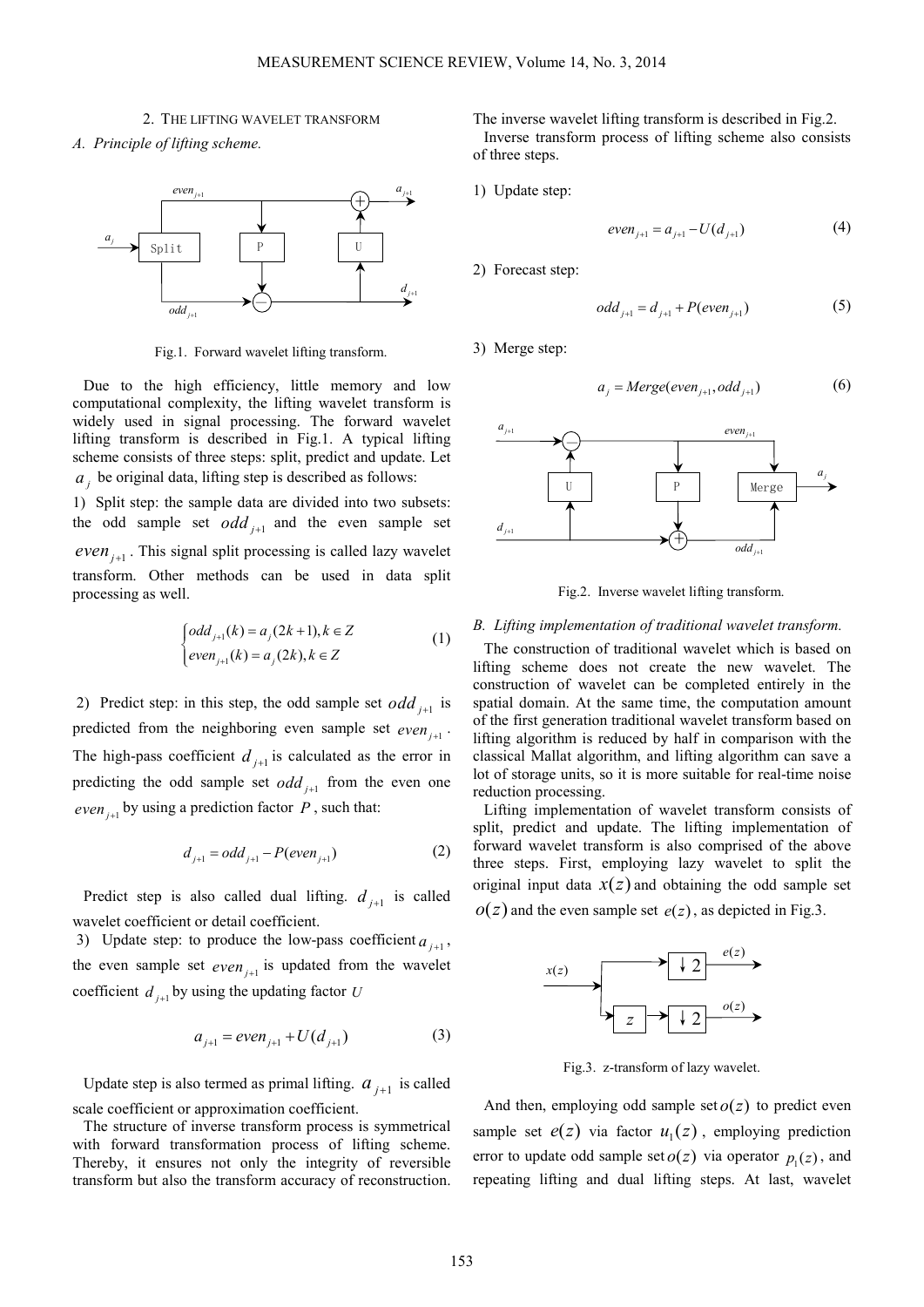*A. Principle of lifting scheme.* 



Fig.1. Forward wavelet lifting transform.

Due to the high efficiency, little memory and low computational complexity, the lifting wavelet transform is widely used in signal processing. The forward wavelet lifting transform is described in Fig.1. A typical lifting scheme consists of three steps: split, predict and update. Let  $a_j$  be original data, lifting step is described as follows:

1) Split step: the sample data are divided into two subsets: the odd sample set  $\text{odd}_{j+1}$  and the even sample set  $even_{j+1}$ . This signal split processing is called lazy wavelet transform. Other methods can be used in data split processing as well.

$$
\begin{cases}\nodd_{j+1}(k) = a_j(2k+1), k \in Z \\
even_{j+1}(k) = a_j(2k), k \in Z\n\end{cases} (1)
$$

2) Predict step: in this step, the odd sample set  $\text{odd}_{j+1}$  is predicted from the neighboring even sample set  $even_{j+1}$ . The high-pass coefficient  $d_{j+1}$  is calculated as the error in predicting the odd sample set  $\text{odd}_{j+1}$  from the even one *even*<sub>*j*+1</sub></sub> by using a prediction factor  $P$ , such that:

$$
d_{j+1} = odd_{j+1} - P(even_{j+1})
$$
 (2)

Predict step is also called dual lifting.  $d_{j+1}$  is called wavelet coefficient or detail coefficient.

3) Update step: to produce the low-pass coefficient  $a_{j+1}$ , the even sample set  $even_{j+1}$  is updated from the wavelet coefficient  $d_{j+1}$  by using the updating factor *U* 

$$
a_{j+1} = even_{j+1} + U(d_{j+1})
$$
 (3)

Update step is also termed as primal lifting.  $a_{j+1}$  is called scale coefficient or approximation coefficient.

The structure of inverse transform process is symmetrical with forward transformation process of lifting scheme. Thereby, it ensures not only the integrity of reversible transform but also the transform accuracy of reconstruction.

The inverse wavelet lifting transform is described in Fig.2. Inverse transform process of lifting scheme also consists of three steps.

1) Update step:

$$
even_{j+1} = a_{j+1} - U(d_{j+1}) \tag{4}
$$

2) Forecast step:

$$
odd_{j+1} = d_{j+1} + P(even_{j+1})
$$
 (5)

3) Merge step:

$$
a_j = Merge(even_{j+1}, odd_{j+1})
$$
 (6)



Fig.2. Inverse wavelet lifting transform.

#### *B. Lifting implementation of traditional wavelet transform.*

The construction of traditional wavelet which is based on lifting scheme does not create the new wavelet. The construction of wavelet can be completed entirely in the spatial domain. At the same time, the computation amount of the first generation traditional wavelet transform based on lifting algorithm is reduced by half in comparison with the classical Mallat algorithm, and lifting algorithm can save a lot of storage units, so it is more suitable for real-time noise reduction processing.

Lifting implementation of wavelet transform consists of split, predict and update. The lifting implementation of forward wavelet transform is also comprised of the above three steps. First, employing lazy wavelet to split the original input data  $x(z)$  and obtaining the odd sample set  $o(z)$  and the even sample set  $e(z)$ , as depicted in Fig.3.



Fig.3. z-transform of lazy wavelet.

And then, employing odd sample set  $o(z)$  to predict even sample set  $e(z)$  via factor  $u_1(z)$ , employing prediction error to update odd sample set  $o(z)$  via operator  $p_1(z)$ , and repeating lifting and dual lifting steps. At last, wavelet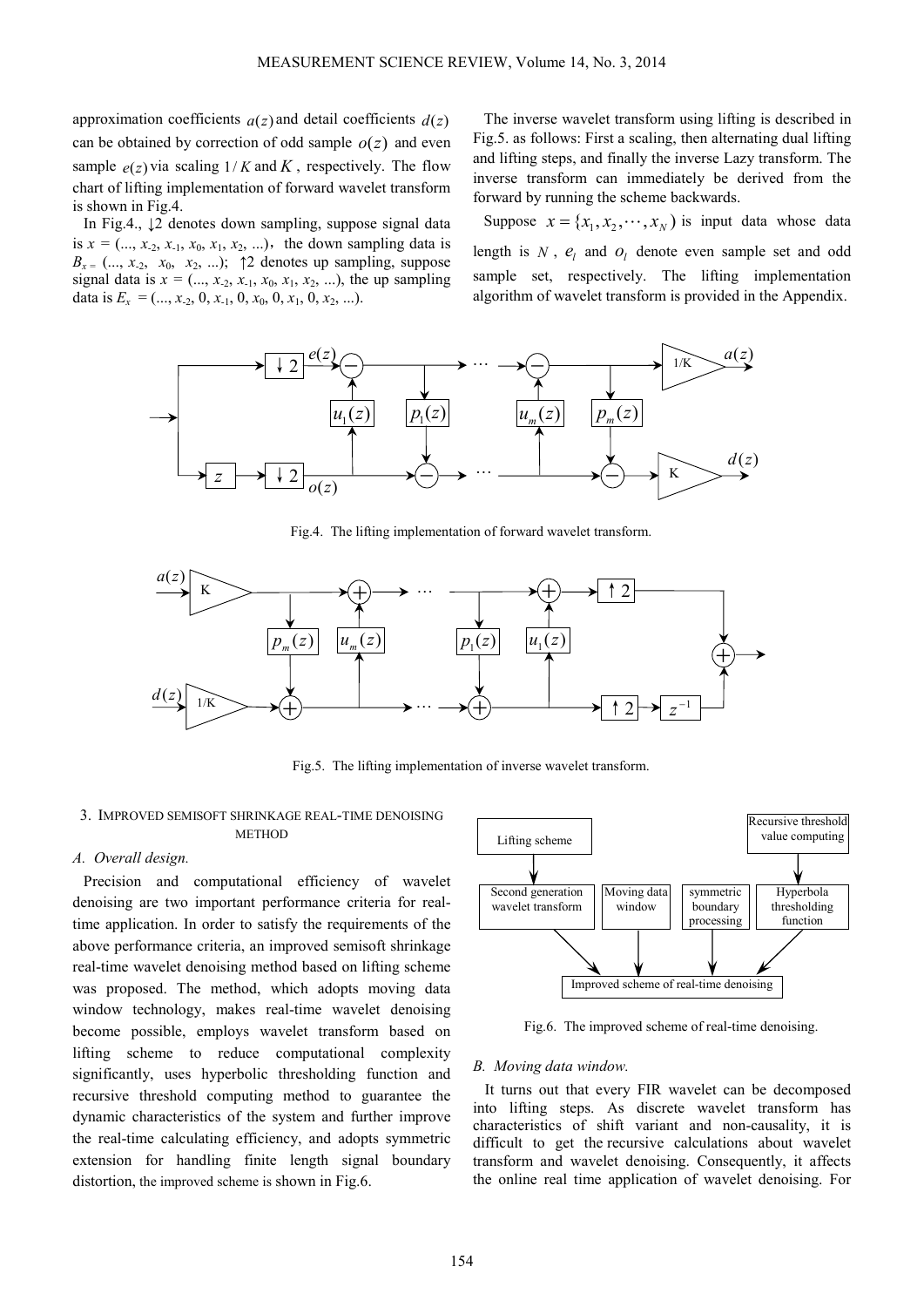approximation coefficients  $a(z)$  and detail coefficients  $d(z)$ can be obtained by correction of odd sample  $o(z)$  and even sample  $e(z)$  via scaling  $1/K$  and  $K$ , respectively. The flow chart of lifting implementation of forward wavelet transform is shown in Fig.4.

In Fig.4., ↓2 denotes down sampling, suppose signal data is  $x = (..., x_{-2}, x_{-1}, x_0, x_1, x_2, ...),$  the down sampling data is  $B_{x} = (..., x_{-2}, x_{0}, x_{2}, ...);$   $\uparrow$  2 denotes up sampling, suppose signal data is  $x = (..., x_{-2}, x_{-1}, x_0, x_1, x_2, ...),$  the up sampling data is  $E_x = (..., x_{-2}, 0, x_{-1}, 0, x_0, 0, x_1, 0, x_2, ...).$ 

The inverse wavelet transform using lifting is described in Fig.5. as follows: First a scaling, then alternating dual lifting and lifting steps, and finally the inverse Lazy transform. The inverse transform can immediately be derived from the forward by running the scheme backwards.

Suppose  $x = \{x_1, x_2, \dots, x_N\}$  is input data whose data length is  $N$ ,  $e_i$  and  $o_i$  denote even sample set and odd sample set, respectively. The lifting implementation algorithm of wavelet transform is provided in the Appendix.



Fig.4. The lifting implementation of forward wavelet transform.



Fig.5. The lifting implementation of inverse wavelet transform.

#### 3. IMPROVED SEMISOFT SHRINKAGE REAL-TIME DENOISING **METHOD**

## *A. Overall design.*

Precision and computational efficiency of wavelet denoising are two important performance criteria for realtime application. In order to satisfy the requirements of the above performance criteria, an improved semisoft shrinkage real-time wavelet denoising method based on lifting scheme was proposed. The method, which adopts moving data window technology, makes real-time wavelet denoising become possible, employs wavelet transform based on lifting scheme to reduce computational complexity significantly, uses hyperbolic thresholding function and recursive threshold computing method to guarantee the dynamic characteristics of the system and further improve the real-time calculating efficiency, and adopts symmetric extension for handling finite length signal boundary distortion, the improved scheme is shown in Fig.6.



Fig.6. The improved scheme of real-time denoising.

#### *B. Moving data window.*

It turns out that every FIR wavelet can be decomposed into lifting steps. As discrete wavelet transform has characteristics of shift variant and non-causality, it is difficult to get the recursive calculations about wavelet transform and wavelet denoising. Consequently, it affects the online real time application of wavelet denoising. For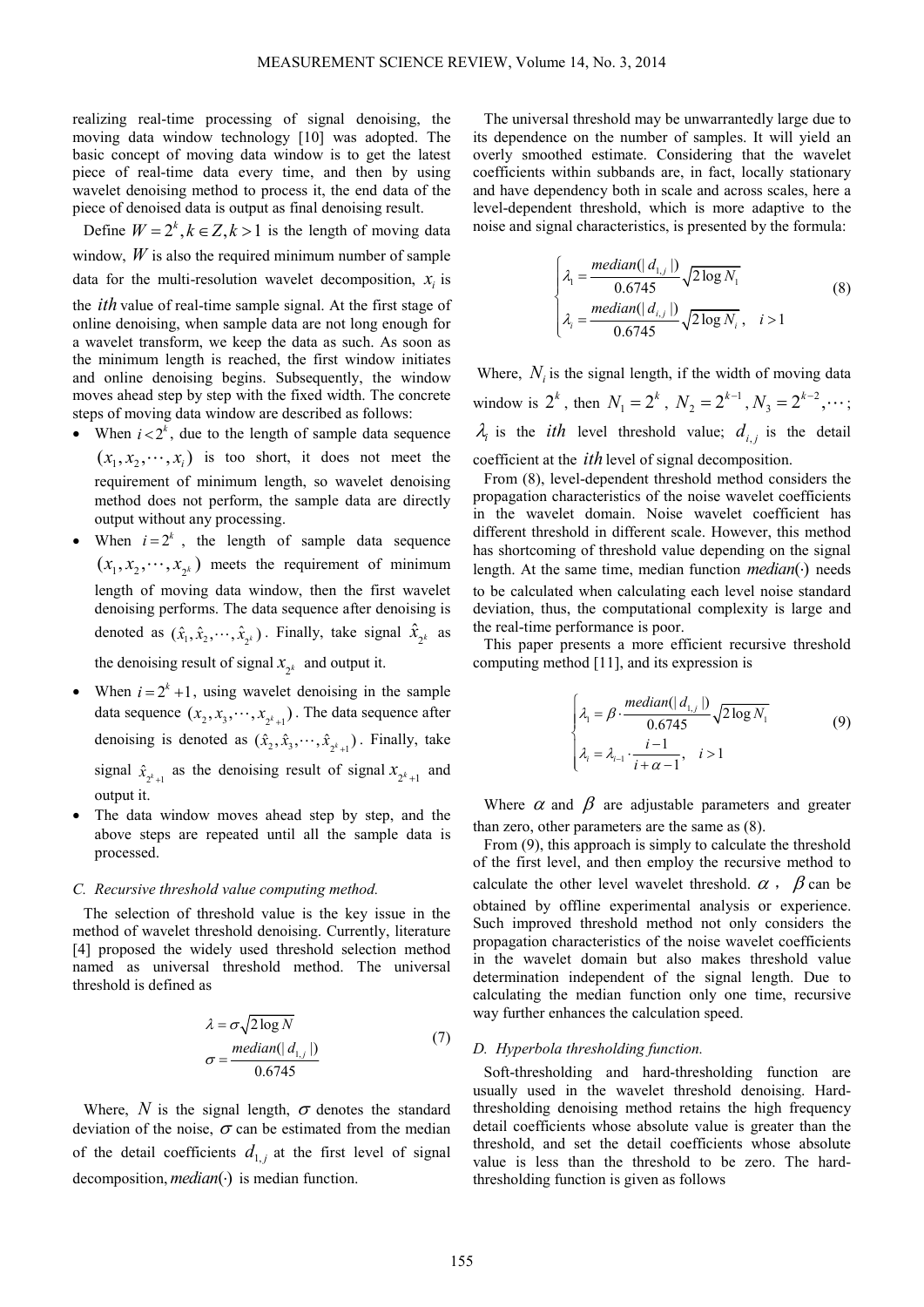realizing real-time processing of signal denoising, the moving data window technology [10] was adopted. The basic concept of moving data window is to get the latest piece of real-time data every time, and then by using wavelet denoising method to process it, the end data of the piece of denoised data is output as final denoising result.

Define  $W = 2^k$ ,  $k \in \mathbb{Z}$ ,  $k > 1$  is the length of moving data window,  $W$  is also the required minimum number of sample data for the multi-resolution wavelet decomposition,  $x_i$  is the *ith* value of real-time sample signal. At the first stage of online denoising, when sample data are not long enough for a wavelet transform, we keep the data as such. As soon as the minimum length is reached, the first window initiates and online denoising begins. Subsequently, the window moves ahead step by step with the fixed width. The concrete steps of moving data window are described as follows:

- When  $i < 2^k$ , due to the length of sample data sequence  $(x_1, x_2, \dots, x_i)$  is too short, it does not meet the requirement of minimum length, so wavelet denoising method does not perform, the sample data are directly output without any processing.
- When  $i = 2^k$ , the length of sample data sequence  $(x_1, x_2, \dots, x_{2^k})$  meets the requirement of minimum length of moving data window, then the first wavelet denoising performs. The data sequence after denoising is denoted as  $(\hat{x}_1, \hat{x}_2, \dots, \hat{x}_{2^k})$ . Finally, take signal  $\hat{x}_{2^k}$  as the denoising result of signal  $x_{2^k}$  and output it.
- When  $i = 2^k + 1$ , using wavelet denoising in the sample data sequence  $(x_2, x_3, \dots, x_{2^k+1})$ . The data sequence after denoising is denoted as  $(\hat{x}_2, \hat{x}_3, \dots, \hat{x}_{2^k+1})$ . Finally, take signal  $\hat{x}_{2^k+1}$  as the denoising result of signal  $x_{2^k+1}$  and output it.
- The data window moves ahead step by step, and the above steps are repeated until all the sample data is processed.

# *C. Recursive threshold value computing method.*

The selection of threshold value is the key issue in the method of wavelet threshold denoising. Currently, literature [4] proposed the widely used threshold selection method named as universal threshold method. The universal threshold is defined as

$$
\lambda = \sigma \sqrt{2 \log N} \n\sigma = \frac{median(|d_{1,j}|)}{0.6745}
$$
\n(7)

Where,  $N$  is the signal length,  $\sigma$  denotes the standard deviation of the noise,  $\sigma$  can be estimated from the median of the detail coefficients  $d_{1,j}$  at the first level of signal decomposition, *median*(·) is median function.

The universal threshold may be unwarrantedly large due to its dependence on the number of samples. It will yield an overly smoothed estimate. Considering that the wavelet coefficients within subbands are, in fact, locally stationary and have dependency both in scale and across scales, here a level-dependent threshold, which is more adaptive to the noise and signal characteristics, is presented by the formula:

$$
\begin{cases}\n\lambda_{1} = \frac{median(|d_{1,j}|)}{0.6745} \sqrt{2 \log N_{1}} \\
\lambda_{i} = \frac{median(|d_{i,j}|)}{0.6745} \sqrt{2 \log N_{i}}, \quad i > 1\n\end{cases}
$$
\n(8)

Where,  $N_i$  is the signal length, if the width of moving data window is  $2^k$ , then  $N_1 = 2^k$ ,  $N_2 = 2^{k-1}$  $N_2 = 2^{k-1}, N_3 = 2^{k-2}$  $N_3 = 2^{k-2}, \cdots;$  $\lambda_i$  is the *ith* level threshold value;  $d_{i,j}$  is the detail coefficient at the *ith* level of signal decomposition.

From (8), level-dependent threshold method considers the propagation characteristics of the noise wavelet coefficients in the wavelet domain. Noise wavelet coefficient has different threshold in different scale. However, this method has shortcoming of threshold value depending on the signal length. At the same time, median function *median*(·) needs to be calculated when calculating each level noise standard deviation, thus, the computational complexity is large and the real-time performance is poor.

This paper presents a more efficient recursive threshold computing method [11], and its expression is

$$
\begin{cases}\n\lambda_1 = \beta \cdot \frac{median(|d_{1,j}|)}{0.6745} \sqrt{2 \log N_1} \\
\lambda_i = \lambda_{i-1} \cdot \frac{i-1}{i+\alpha-1}, \quad i > 1\n\end{cases}
$$
\n(9)

Where  $\alpha$  and  $\beta$  are adjustable parameters and greater than zero, other parameters are the same as (8).

From (9), this approach is simply to calculate the threshold of the first level, and then employ the recursive method to calculate the other level wavelet threshold.  $\alpha$ ,  $\beta$  can be obtained by offline experimental analysis or experience. Such improved threshold method not only considers the propagation characteristics of the noise wavelet coefficients in the wavelet domain but also makes threshold value determination independent of the signal length. Due to calculating the median function only one time, recursive way further enhances the calculation speed.

#### *D. Hyperbola thresholding function.*

Soft-thresholding and hard-thresholding function are usually used in the wavelet threshold denoising. Hardthresholding denoising method retains the high frequency detail coefficients whose absolute value is greater than the threshold, and set the detail coefficients whose absolute value is less than the threshold to be zero. The hardthresholding function is given as follows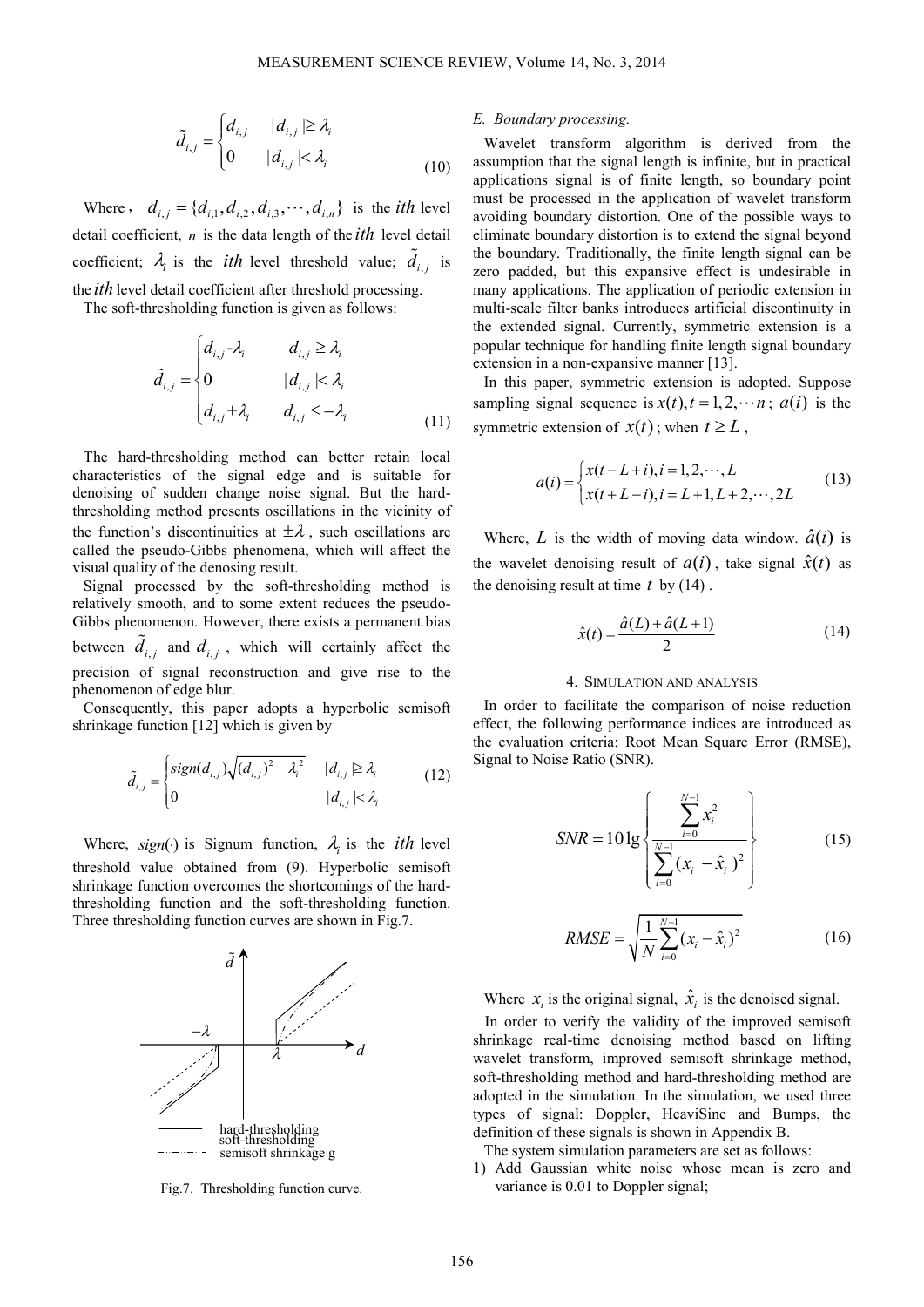$$
\tilde{d}_{i,j} = \begin{cases} d_{i,j} & |d_{i,j}| \ge \lambda_i \\ 0 & |d_{i,j}| < \lambda_i \end{cases} \tag{10}
$$

Where,  $d_{i,j} = \{d_{i,1}, d_{i,2}, d_{i,3}, \cdots, d_{i,n}\}\$ is the *ith* level detail coefficient, *n* is the data length of the *ith* level detail coefficient;  $\lambda_i$  is the *ith* level threshold value;  $\tilde{d}_{i,j}$  is the *ith* level detail coefficient after threshold processing.

The soft-thresholding function is given as follows:

$$
\tilde{d}_{i,j} = \begin{cases}\nd_{i,j} - \lambda_i & d_{i,j} \ge \lambda_i \\
0 & |d_{i,j}| < \lambda_i \\
d_{i,j} + \lambda_i & d_{i,j} \le -\lambda_i\n\end{cases}
$$
\n(11)

The hard-thresholding method can better retain local characteristics of the signal edge and is suitable for denoising of sudden change noise signal. But the hardthresholding method presents oscillations in the vicinity of the function's discontinuities at  $\pm \lambda$ , such oscillations are called the pseudo-Gibbs phenomena, which will affect the visual quality of the denosing result.

Signal processed by the soft-thresholding method is relatively smooth, and to some extent reduces the pseudo-Gibbs phenomenon. However, there exists a permanent bias between  $\tilde{d}_{i,j}$  and  $d_{i,j}$ , which will certainly affect the precision of signal reconstruction and give rise to the phenomenon of edge blur.

Consequently, this paper adopts a hyperbolic semisoft shrinkage function [12] which is given by

$$
\tilde{d}_{i,j} = \begin{cases}\n\text{sign}(d_{i,j})\sqrt{(d_{i,j})^2 - \lambda_i^2} & |d_{i,j}| \ge \lambda_i \\
0 & |d_{i,j}| < \lambda_i\n\end{cases} \tag{12}
$$

Where,  $sign(\cdot)$  is Signum function,  $\lambda_i$  is the *ith* level threshold value obtained from (9). Hyperbolic semisoft shrinkage function overcomes the shortcomings of the hardthresholding function and the soft-thresholding function. Three thresholding function curves are shown in Fig.7.



Fig.7. Thresholding function curve.

#### *E. Boundary processing.*

Wavelet transform algorithm is derived from the assumption that the signal length is infinite, but in practical applications signal is of finite length, so boundary point must be processed in the application of wavelet transform avoiding boundary distortion. One of the possible ways to eliminate boundary distortion is to extend the signal beyond the boundary. Traditionally, the finite length signal can be zero padded, but this expansive effect is undesirable in many applications. The application of periodic extension in multi-scale filter banks introduces artificial discontinuity in the extended signal. Currently, symmetric extension is a popular technique for handling finite length signal boundary extension in a non-expansive manner [13].

In this paper, symmetric extension is adopted. Suppose sampling signal sequence is  $x(t)$ ,  $t = 1, 2, \dots n$ ;  $a(i)$  is the symmetric extension of  $x(t)$ ; when  $t \geq L$ ,

$$
a(i) = \begin{cases} x(t-L+i), i = 1, 2, \cdots, L \\ x(t+L-i), i = L+1, L+2, \cdots, 2L \end{cases}
$$
(13)

Where,  $L$  is the width of moving data window.  $\hat{a}(i)$  is the wavelet denoising result of  $a(i)$ , take signal  $\hat{x}(t)$  as the denoising result at time  $t$  by  $(14)$ .

$$
\hat{x}(t) = \frac{\hat{a}(L) + \hat{a}(L+1)}{2} \tag{14}
$$

#### 4. SIMULATION AND ANALYSIS

In order to facilitate the comparison of noise reduction effect, the following performance indices are introduced as the evaluation criteria: Root Mean Square Error (RMSE), Signal to Noise Ratio (SNR).

$$
SNR = 10 \lg \left\{ \frac{\sum_{i=0}^{N-1} x_i^2}{\sum_{i=0}^{N-1} (x_i - \hat{x}_i)^2} \right\}
$$
(15)

$$
RMSE = \sqrt{\frac{1}{N} \sum_{i=0}^{N-1} (x_i - \hat{x}_i)^2}
$$
 (16)

Where  $x_i$  is the original signal,  $\hat{x}_i$  is the denoised signal.

In order to verify the validity of the improved semisoft shrinkage real-time denoising method based on lifting wavelet transform, improved semisoft shrinkage method, soft-thresholding method and hard-thresholding method are adopted in the simulation. In the simulation, we used three types of signal: Doppler, HeaviSine and Bumps, the definition of these signals is shown in Appendix B.

The system simulation parameters are set as follows:

1) Add Gaussian white noise whose mean is zero and variance is 0.01 to Doppler signal;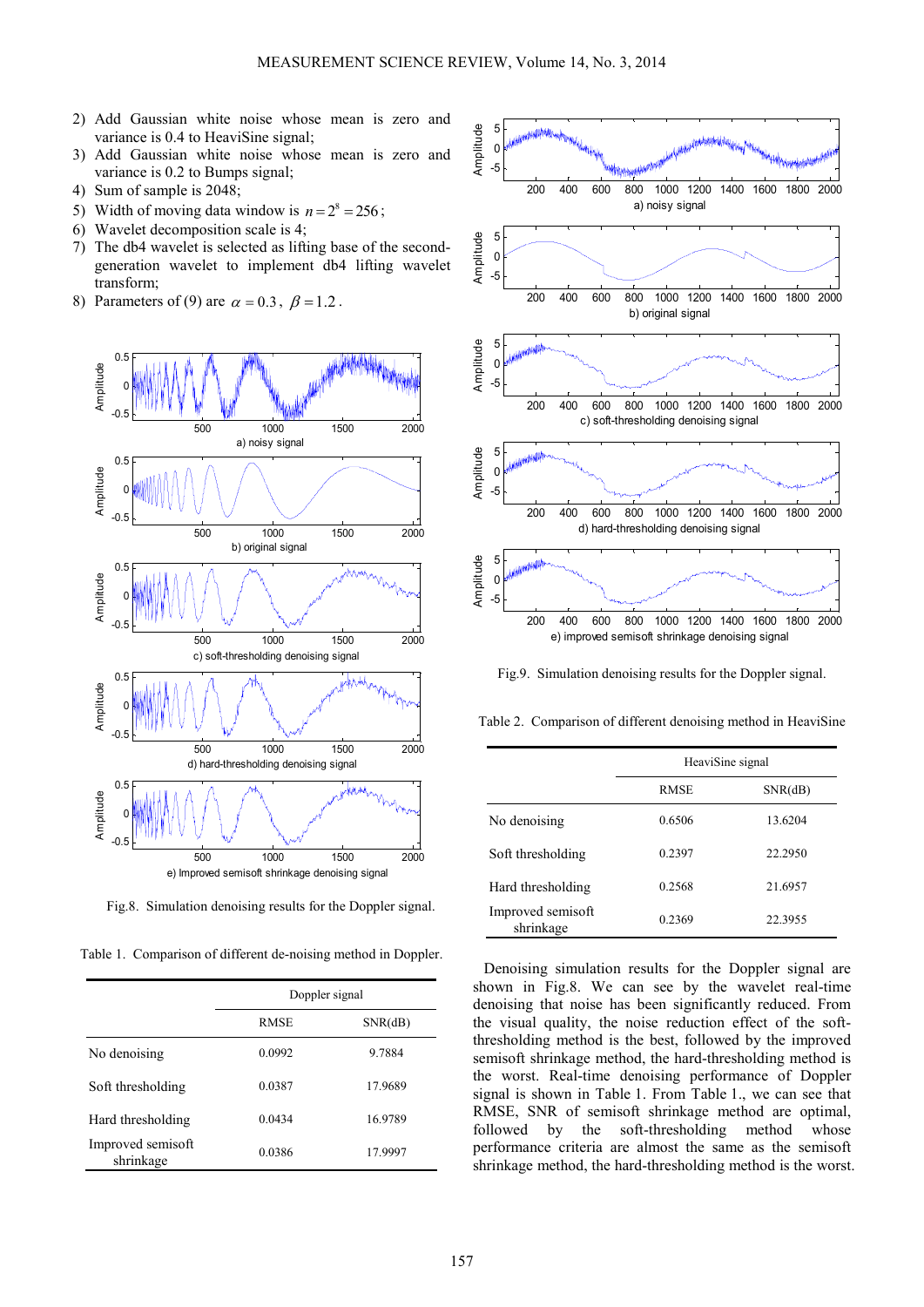- 2) Add Gaussian white noise whose mean is zero and variance is 0.4 to HeaviSine signal;
- 3) Add Gaussian white noise whose mean is zero and variance is 0.2 to Bumps signal;
- 4) Sum of sample is 2048;
- 5) Width of moving data window is  $n = 2^8 = 256$ ;
- 6) Wavelet decomposition scale is 4;
- 7) The db4 wavelet is selected as lifting base of the secondgeneration wavelet to implement db4 lifting wavelet transform;
- 8) Parameters of (9) are  $\alpha = 0.3$ ,  $\beta = 1.2$ .



Fig.8. Simulation denoising results for the Doppler signal.

Table 1. Comparison of different de-noising method in Doppler.

|                                | Doppler signal |         |
|--------------------------------|----------------|---------|
|                                | <b>RMSE</b>    | SNR(dB) |
| No denoising                   | 0.0992         | 9.7884  |
| Soft thresholding              | 0.0387         | 17.9689 |
| Hard thresholding              | 0.0434         | 16.9789 |
| Improved semisoft<br>shrinkage | 0.0386         | 17.9997 |



Fig.9. Simulation denoising results for the Doppler signal.

Table 2. Comparison of different denoising method in HeaviSine

|                                | HeaviSine signal |         |
|--------------------------------|------------------|---------|
|                                | <b>RMSE</b>      | SNR(dB) |
| No denoising                   | 0.6506           | 13.6204 |
| Soft thresholding              | 0.2397           | 22.2950 |
| Hard thresholding              | 0.2568           | 21.6957 |
| Improved semisoft<br>shrinkage | 0.2369           | 22.3955 |

Denoising simulation results for the Doppler signal are shown in Fig.8. We can see by the wavelet real-time denoising that noise has been significantly reduced. From the visual quality, the noise reduction effect of the softthresholding method is the best, followed by the improved semisoft shrinkage method, the hard-thresholding method is the worst. Real-time denoising performance of Doppler signal is shown in Table 1. From Table 1., we can see that RMSE, SNR of semisoft shrinkage method are optimal, followed by the soft-thresholding method whose performance criteria are almost the same as the semisoft shrinkage method, the hard-thresholding method is the worst.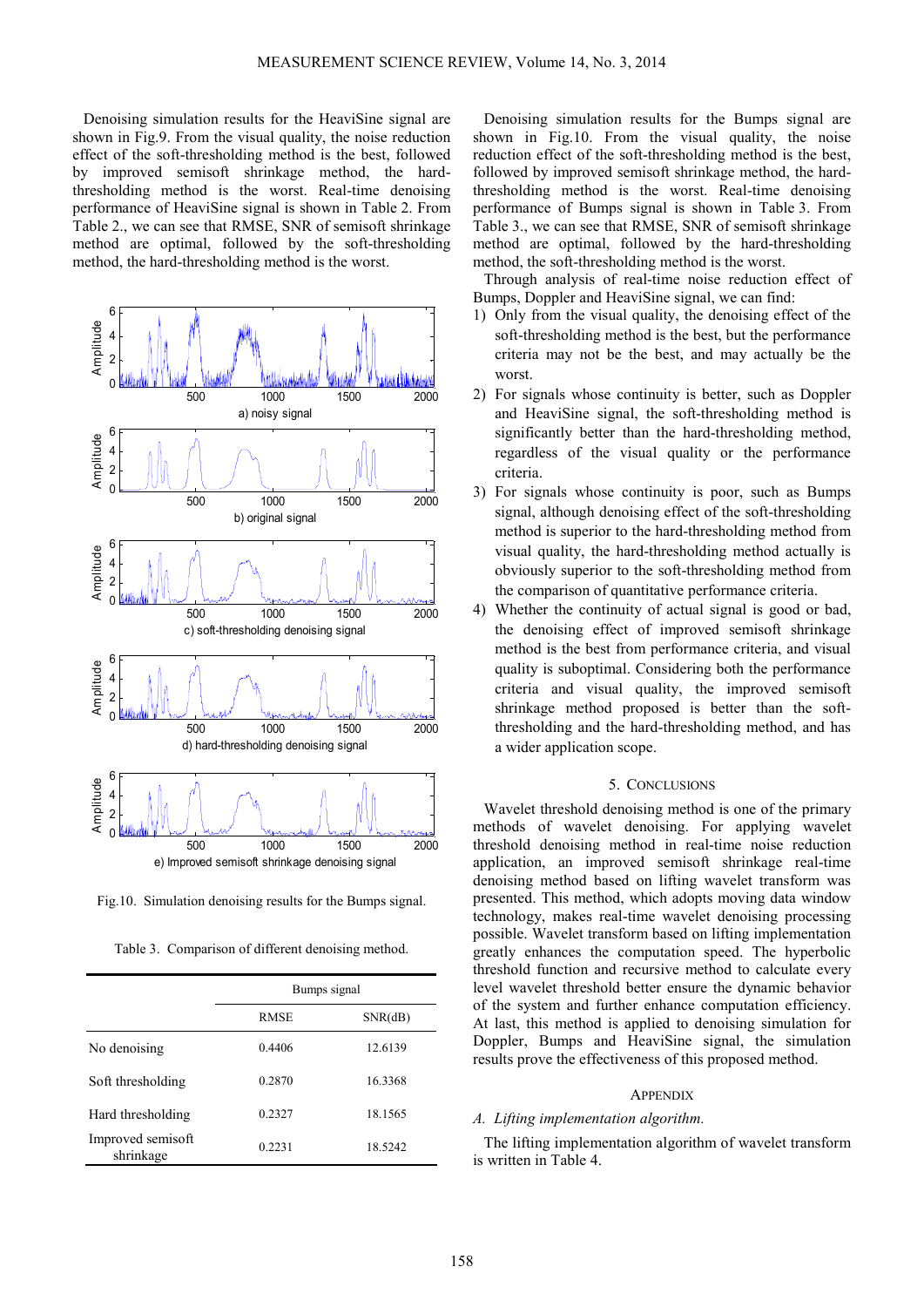Denoising simulation results for the HeaviSine signal are shown in Fig.9. From the visual quality, the noise reduction effect of the soft-thresholding method is the best, followed by improved semisoft shrinkage method, the hardthresholding method is the worst. Real-time denoising performance of HeaviSine signal is shown in Table 2. From Table 2., we can see that RMSE, SNR of semisoft shrinkage method are optimal, followed by the soft-thresholding method, the hard-thresholding method is the worst.



Fig.10. Simulation denoising results for the Bumps signal.

Table 3. Comparison of different denoising method.

|                                | Bumps signal |         |
|--------------------------------|--------------|---------|
|                                | <b>RMSE</b>  | SNR(dB) |
| No denoising                   | 0.4406       | 12.6139 |
| Soft thresholding              | 0.2870       | 16.3368 |
| Hard thresholding              | 0.2327       | 18.1565 |
| Improved semisoft<br>shrinkage | 0.2231       | 18.5242 |

Denoising simulation results for the Bumps signal are shown in Fig.10. From the visual quality, the noise reduction effect of the soft-thresholding method is the best, followed by improved semisoft shrinkage method, the hardthresholding method is the worst. Real-time denoising performance of Bumps signal is shown in Table 3. From Table 3., we can see that RMSE, SNR of semisoft shrinkage method are optimal, followed by the hard-thresholding method, the soft-thresholding method is the worst.

Through analysis of real-time noise reduction effect of Bumps, Doppler and HeaviSine signal, we can find:

- 1) Only from the visual quality, the denoising effect of the soft-thresholding method is the best, but the performance criteria may not be the best, and may actually be the worst
- 2) For signals whose continuity is better, such as Doppler and HeaviSine signal, the soft-thresholding method is significantly better than the hard-thresholding method, regardless of the visual quality or the performance criteria.
- 3) For signals whose continuity is poor, such as Bumps signal, although denoising effect of the soft-thresholding method is superior to the hard-thresholding method from visual quality, the hard-thresholding method actually is obviously superior to the soft-thresholding method from the comparison of quantitative performance criteria.
- 4) Whether the continuity of actual signal is good or bad, the denoising effect of improved semisoft shrinkage method is the best from performance criteria, and visual quality is suboptimal. Considering both the performance criteria and visual quality, the improved semisoft shrinkage method proposed is better than the softthresholding and the hard-thresholding method, and has a wider application scope.

## 5. CONCLUSIONS

Wavelet threshold denoising method is one of the primary methods of wavelet denoising. For applying wavelet threshold denoising method in real-time noise reduction application, an improved semisoft shrinkage real-time denoising method based on lifting wavelet transform was presented. This method, which adopts moving data window technology, makes real-time wavelet denoising processing possible. Wavelet transform based on lifting implementation greatly enhances the computation speed. The hyperbolic threshold function and recursive method to calculate every level wavelet threshold better ensure the dynamic behavior of the system and further enhance computation efficiency. At last, this method is applied to denoising simulation for Doppler, Bumps and HeaviSine signal, the simulation results prove the effectiveness of this proposed method.

## **APPENDIX**

## *A. Lifting implementation algorithm.*

The lifting implementation algorithm of wavelet transform is written in Table 4.